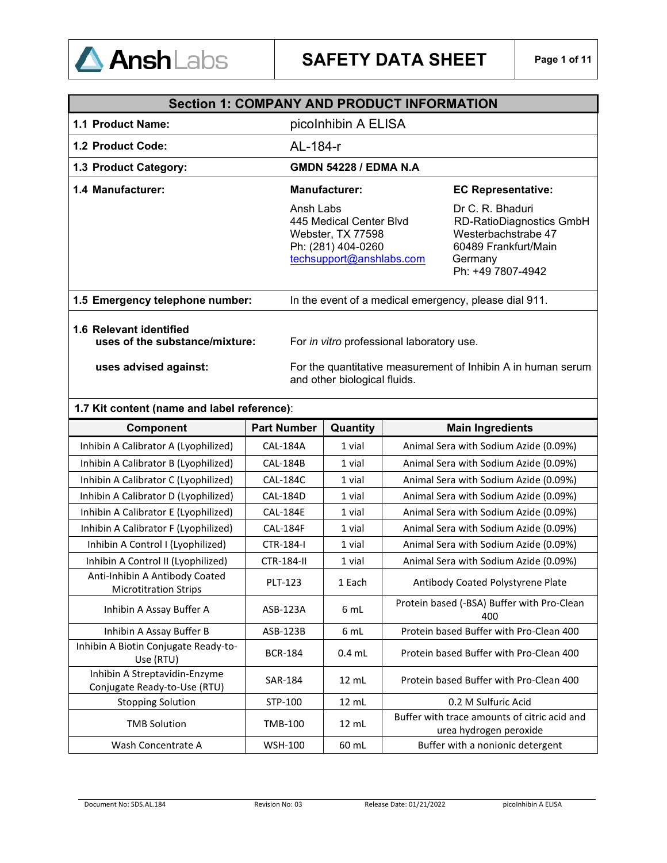

|                                                           | <b>Section 1: COMPANY AND PRODUCT INFORMATION</b>                                                           |                                                                                                                                    |  |
|-----------------------------------------------------------|-------------------------------------------------------------------------------------------------------------|------------------------------------------------------------------------------------------------------------------------------------|--|
| 1.1 Product Name:                                         | picolnhibin A ELISA                                                                                         |                                                                                                                                    |  |
| <b>1.2 Product Code:</b>                                  | AL-184-r                                                                                                    |                                                                                                                                    |  |
| 1.3 Product Category:                                     | <b>GMDN 54228 / EDMA N.A.</b>                                                                               |                                                                                                                                    |  |
| 1.4 Manufacturer:                                         | Manufacturer:                                                                                               | <b>EC Representative:</b>                                                                                                          |  |
|                                                           | Ansh Labs<br>445 Medical Center Blvd<br>Webster, TX 77598<br>Ph: (281) 404-0260<br>techsupport@anshlabs.com | Dr C. R. Bhaduri<br><b>RD-RatioDiagnostics GmbH</b><br>Westerbachstrabe 47<br>60489 Frankfurt/Main<br>Germany<br>Ph: +49 7807-4942 |  |
| 1.5 Emergency telephone number:                           | In the event of a medical emergency, please dial 911.                                                       |                                                                                                                                    |  |
| 1.6 Relevant identified<br>uses of the substance/mixture: | For in vitro professional laboratory use.                                                                   |                                                                                                                                    |  |
| uses advised against:                                     | For the quantitative measurement of Inhibin A in human serum<br>and other biological fluids.                |                                                                                                                                    |  |

# **1.7 Kit content (name and label reference)**:

| Component                                                      | <b>Part Number</b> | Quantity        | <b>Main Ingredients</b>                                                |
|----------------------------------------------------------------|--------------------|-----------------|------------------------------------------------------------------------|
| Inhibin A Calibrator A (Lyophilized)                           | <b>CAL-184A</b>    | 1 vial          | Animal Sera with Sodium Azide (0.09%)                                  |
| Inhibin A Calibrator B (Lyophilized)                           | <b>CAL-184B</b>    | 1 vial          | Animal Sera with Sodium Azide (0.09%)                                  |
| Inhibin A Calibrator C (Lyophilized)                           | <b>CAL-184C</b>    | 1 vial          | Animal Sera with Sodium Azide (0.09%)                                  |
| Inhibin A Calibrator D (Lyophilized)                           | <b>CAL-184D</b>    | 1 vial          | Animal Sera with Sodium Azide (0.09%)                                  |
| Inhibin A Calibrator E (Lyophilized)                           | <b>CAL-184E</b>    | 1 vial          | Animal Sera with Sodium Azide (0.09%)                                  |
| Inhibin A Calibrator F (Lyophilized)                           | <b>CAL-184F</b>    | 1 vial          | Animal Sera with Sodium Azide (0.09%)                                  |
| Inhibin A Control I (Lyophilized)                              | CTR-184-I          | 1 vial          | Animal Sera with Sodium Azide (0.09%)                                  |
| Inhibin A Control II (Lyophilized)                             | <b>CTR-184-II</b>  | 1 vial          | Animal Sera with Sodium Azide (0.09%)                                  |
| Anti-Inhibin A Antibody Coated<br><b>Microtitration Strips</b> | <b>PLT-123</b>     | 1 Each          | Antibody Coated Polystyrene Plate                                      |
| Inhibin A Assay Buffer A                                       | ASB-123A           | 6 mL            | Protein based (-BSA) Buffer with Pro-Clean<br>400                      |
| Inhibin A Assay Buffer B                                       | ASB-123B           | 6 mL            | Protein based Buffer with Pro-Clean 400                                |
| Inhibin A Biotin Conjugate Ready-to-<br>Use (RTU)              | <b>BCR-184</b>     | $0.4$ mL        | Protein based Buffer with Pro-Clean 400                                |
| Inhibin A Streptavidin-Enzyme<br>Conjugate Ready-to-Use (RTU)  | <b>SAR-184</b>     | $12 \text{ mL}$ | Protein based Buffer with Pro-Clean 400                                |
| <b>Stopping Solution</b>                                       | STP-100            | 12 mL           | 0.2 M Sulfuric Acid                                                    |
| <b>TMB Solution</b>                                            | TMB-100            | $12 \text{ mL}$ | Buffer with trace amounts of citric acid and<br>urea hydrogen peroxide |
| Wash Concentrate A                                             | <b>WSH-100</b>     | 60 mL           | Buffer with a nonionic detergent                                       |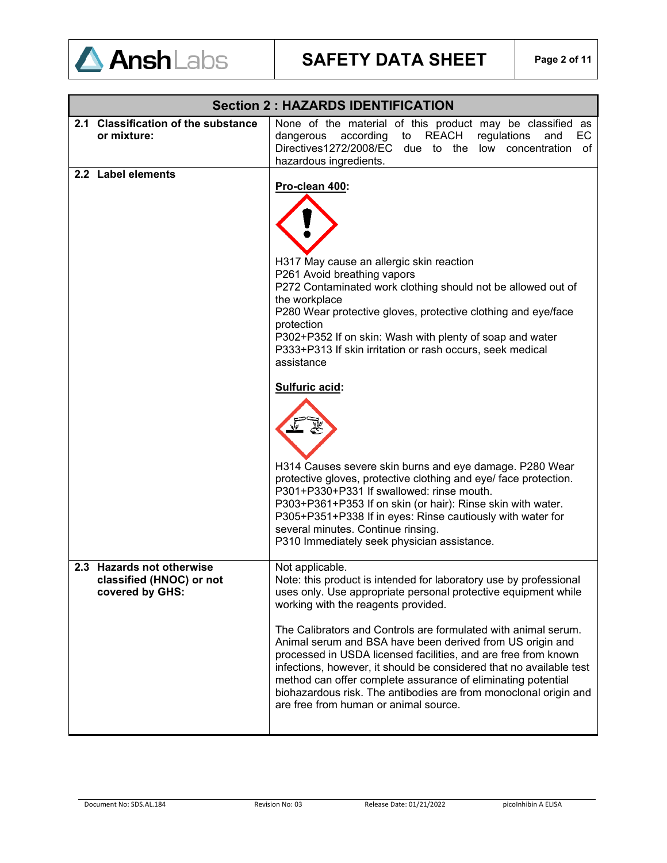

|                                                                          | <b>Section 2: HAZARDS IDENTIFICATION</b>                                                                                                                                                                                                                                                                                                                                                                                                                                                                                                                                                                                                           |
|--------------------------------------------------------------------------|----------------------------------------------------------------------------------------------------------------------------------------------------------------------------------------------------------------------------------------------------------------------------------------------------------------------------------------------------------------------------------------------------------------------------------------------------------------------------------------------------------------------------------------------------------------------------------------------------------------------------------------------------|
| 2.1 Classification of the substance<br>or mixture:                       | None of the material of this product may be classified as<br>to REACH<br>according<br>regulations<br>EC.<br>dangerous<br>and<br>Directives1272/2008/EC due to the low concentration<br>of                                                                                                                                                                                                                                                                                                                                                                                                                                                          |
|                                                                          | hazardous ingredients.                                                                                                                                                                                                                                                                                                                                                                                                                                                                                                                                                                                                                             |
| 2.2 Label elements                                                       | Pro-clean 400:<br>H317 May cause an allergic skin reaction<br>P261 Avoid breathing vapors<br>P272 Contaminated work clothing should not be allowed out of<br>the workplace                                                                                                                                                                                                                                                                                                                                                                                                                                                                         |
|                                                                          | P280 Wear protective gloves, protective clothing and eye/face<br>protection<br>P302+P352 If on skin: Wash with plenty of soap and water<br>P333+P313 If skin irritation or rash occurs, seek medical<br>assistance                                                                                                                                                                                                                                                                                                                                                                                                                                 |
|                                                                          | Sulfuric acid:<br>H314 Causes severe skin burns and eye damage. P280 Wear<br>protective gloves, protective clothing and eye/ face protection.<br>P301+P330+P331 If swallowed: rinse mouth.<br>P303+P361+P353 If on skin (or hair): Rinse skin with water.<br>P305+P351+P338 If in eyes: Rinse cautiously with water for<br>several minutes. Continue rinsing.<br>P310 Immediately seek physician assistance.                                                                                                                                                                                                                                       |
| 2.3 Hazards not otherwise<br>classified (HNOC) or not<br>covered by GHS: | Not applicable.<br>Note: this product is intended for laboratory use by professional<br>uses only. Use appropriate personal protective equipment while<br>working with the reagents provided.<br>The Calibrators and Controls are formulated with animal serum.<br>Animal serum and BSA have been derived from US origin and<br>processed in USDA licensed facilities, and are free from known<br>infections, however, it should be considered that no available test<br>method can offer complete assurance of eliminating potential<br>biohazardous risk. The antibodies are from monoclonal origin and<br>are free from human or animal source. |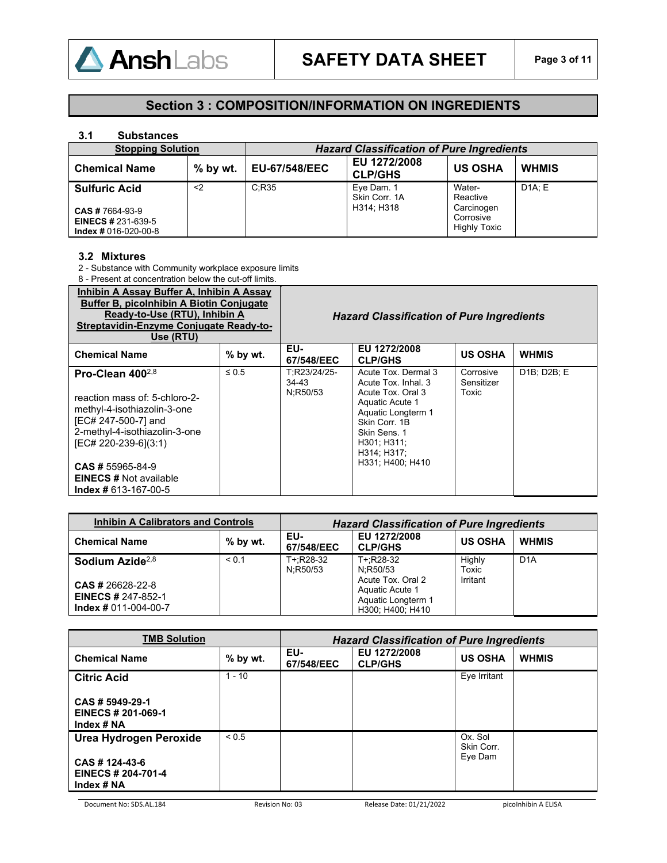

# **Section 3 : COMPOSITION/INFORMATION ON INGREDIENTS**

### **3.1 Substances**

| <b>Stopping Solution</b>                                                    |            | <b>Hazard Classification of Pure Ingredients</b> |                                           |                                               |              |
|-----------------------------------------------------------------------------|------------|--------------------------------------------------|-------------------------------------------|-----------------------------------------------|--------------|
| <b>Chemical Name</b>                                                        | $%$ by wt. | <b>EU-67/548/EEC</b>                             | EU 1272/2008<br><b>CLP/GHS</b>            | <b>US OSHA</b>                                | <b>WHMIS</b> |
| <b>Sulfuric Acid</b><br><b>CAS # 7664-93-9</b><br><b>EINECS # 231-639-5</b> | $2$        | C:R35                                            | Eye Dam. 1<br>Skin Corr, 1A<br>H314; H318 | Water-<br>Reactive<br>Carcinogen<br>Corrosive | DA: E        |
| $Index # 016-020-00-8$                                                      |            |                                                  |                                           | <b>Highly Toxic</b>                           |              |

### **3.2 Mixtures**

2 - Substance with Community workplace exposure limits

8 - Present at concentration below the cut-off limits.

| Inhibin A Assay Buffer A, Inhibin A Assay<br><b>Buffer B, picolnhibin A Biotin Conjugate</b><br>Ready-to-Use (RTU), Inhibin A<br>Streptavidin-Enzyme Conjugate Ready-to-<br>Use (RTU)       |            |                                   | <b>Hazard Classification of Pure Ingredients</b>                                                                                                                                            |                                  |                                       |
|---------------------------------------------------------------------------------------------------------------------------------------------------------------------------------------------|------------|-----------------------------------|---------------------------------------------------------------------------------------------------------------------------------------------------------------------------------------------|----------------------------------|---------------------------------------|
| <b>Chemical Name</b>                                                                                                                                                                        | % by wt.   | EU-<br>67/548/EEC                 | EU 1272/2008<br><b>CLP/GHS</b>                                                                                                                                                              | <b>US OSHA</b>                   | <b>WHMIS</b>                          |
| Pro-Clean $400^{2,8}$<br>reaction mass of: 5-chloro-2-<br>methyl-4-isothiazolin-3-one<br>[EC# 247-500-7] and<br>2-methyl-4-isothiazolin-3-one<br>[EC# 220-239-6](3:1)<br>$CAS$ # 55965-84-9 | $\leq 0.5$ | T:R23/24/25-<br>34-43<br>N:R50/53 | Acute Tox, Dermal 3<br>Acute Tox, Inhal, 3<br>Acute Tox, Oral 3<br>Aquatic Acute 1<br>Aquatic Longterm 1<br>Skin Corr. 1B<br>Skin Sens. 1<br>H301; H311;<br>H314; H317;<br>H331: H400: H410 | Corrosive<br>Sensitizer<br>Toxic | D <sub>1</sub> B: D <sub>2</sub> B: E |
| <b>EINECS # Not available</b><br>$Index # 613-167-00-5$                                                                                                                                     |            |                                   |                                                                                                                                                                                             |                                  |                                       |

| <b>Inhibin A Calibrators and Controls</b>                                 |            | <b>Hazard Classification of Pure Ingredients</b> |                                                                                |                 |                  |
|---------------------------------------------------------------------------|------------|--------------------------------------------------|--------------------------------------------------------------------------------|-----------------|------------------|
| <b>Chemical Name</b>                                                      | $%$ by wt. | EU-<br>67/548/EEC                                | EU 1272/2008<br><b>CLP/GHS</b>                                                 | <b>US OSHA</b>  | <b>WHMIS</b>     |
| Sodium Azide <sup>2,8</sup>                                               | < 0.1      | T+:R28-32<br>N:R50/53                            | T+:R28-32<br>N:R50/53                                                          | Highly<br>Toxic | D <sub>1</sub> A |
| $CAS # 26628-22-8$<br><b>EINECS # 247-852-1</b><br>$Index # 011-004-00-7$ |            |                                                  | Acute Tox, Oral 2<br>Aquatic Acute 1<br>Aquatic Longterm 1<br>H300; H400; H410 | Irritant        |                  |

| <b>TMB Solution</b>                                                          | <b>Hazard Classification of Pure Ingredients</b> |                   |                                |                                  |              |
|------------------------------------------------------------------------------|--------------------------------------------------|-------------------|--------------------------------|----------------------------------|--------------|
| <b>Chemical Name</b>                                                         | $%$ by wt.                                       | EU-<br>67/548/EEC | EU 1272/2008<br><b>CLP/GHS</b> | <b>US OSHA</b>                   | <b>WHMIS</b> |
| <b>Citric Acid</b>                                                           | $1 - 10$                                         |                   |                                | Eye Irritant                     |              |
| CAS # 5949-29-1<br>EINECS # 201-069-1<br>Index # NA                          |                                                  |                   |                                |                                  |              |
| Urea Hydrogen Peroxide<br>CAS # 124-43-6<br>EINECS # 204-701-4<br>Index # NA | ${}_{0.5}$                                       |                   |                                | Ox. Sol<br>Skin Corr.<br>Eye Dam |              |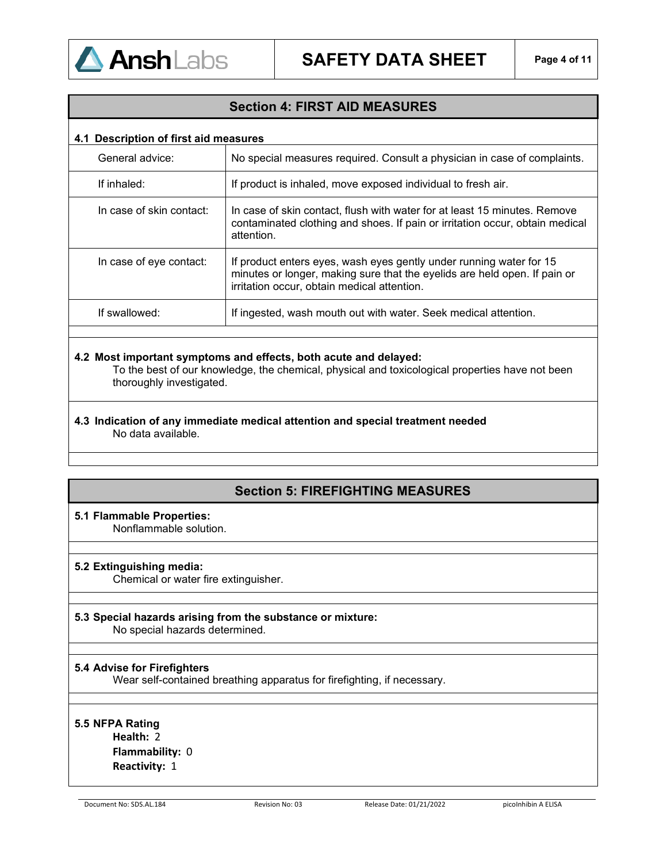

# **Section 4: FIRST AID MEASURES**

# **4.1 Description of first aid measures**

| General advice:          | No special measures required. Consult a physician in case of complaints.                                                                                                                        |
|--------------------------|-------------------------------------------------------------------------------------------------------------------------------------------------------------------------------------------------|
| If inhaled:              | If product is inhaled, move exposed individual to fresh air.                                                                                                                                    |
| In case of skin contact: | In case of skin contact, flush with water for at least 15 minutes. Remove<br>contaminated clothing and shoes. If pain or irritation occur, obtain medical<br>attention.                         |
| In case of eye contact:  | If product enters eyes, wash eyes gently under running water for 15<br>minutes or longer, making sure that the eyelids are held open. If pain or<br>irritation occur, obtain medical attention. |
| If swallowed:            | If ingested, wash mouth out with water. Seek medical attention.                                                                                                                                 |
|                          |                                                                                                                                                                                                 |

### **4.2 Most important symptoms and effects, both acute and delayed:**

To the best of our knowledge, the chemical, physical and toxicological properties have not been thoroughly investigated.

**4.3 Indication of any immediate medical attention and special treatment needed**  No data available.

# **Section 5: FIREFIGHTING MEASURES**

# **5.1 Flammable Properties:**

Nonflammable solution.

### **5.2 Extinguishing media:**

Chemical or water fire extinguisher.

# **5.3 Special hazards arising from the substance or mixture:**

No special hazards determined.

### **5.4 Advise for Firefighters**

Wear self-contained breathing apparatus for firefighting, if necessary.

# **5.5 NFPA Rating**

**Health:** 2 **Flammability:** 0 **Reactivity:** 1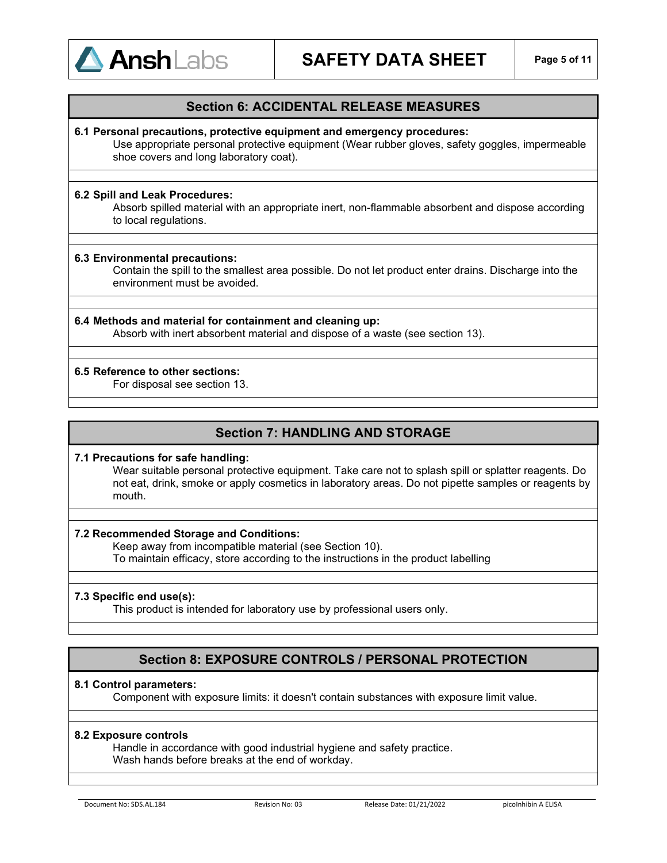

# **Section 6: ACCIDENTAL RELEASE MEASURES**

### **6.1 Personal precautions, protective equipment and emergency procedures:**

Use appropriate personal protective equipment (Wear rubber gloves, safety goggles, impermeable shoe covers and long laboratory coat).

#### **6.2 Spill and Leak Procedures:**

Absorb spilled material with an appropriate inert, non-flammable absorbent and dispose according to local regulations.

#### **6.3 Environmental precautions:**

Contain the spill to the smallest area possible. Do not let product enter drains. Discharge into the environment must be avoided.

## **6.4 Methods and material for containment and cleaning up:**

Absorb with inert absorbent material and dispose of a waste (see section 13).

#### **6.5 Reference to other sections:**

For disposal see section 13.

# **Section 7: HANDLING AND STORAGE**

#### **7.1 Precautions for safe handling:**

Wear suitable personal protective equipment. Take care not to splash spill or splatter reagents. Do not eat, drink, smoke or apply cosmetics in laboratory areas. Do not pipette samples or reagents by mouth.

### **7.2 Recommended Storage and Conditions:**

Keep away from incompatible material (see Section 10). To maintain efficacy, store according to the instructions in the product labelling

#### **7.3 Specific end use(s):**

This product is intended for laboratory use by professional users only.

# **Section 8: EXPOSURE CONTROLS / PERSONAL PROTECTION**

### **8.1 Control parameters:**

Component with exposure limits: it doesn't contain substances with exposure limit value.

#### **8.2 Exposure controls**

Handle in accordance with good industrial hygiene and safety practice. Wash hands before breaks at the end of workday.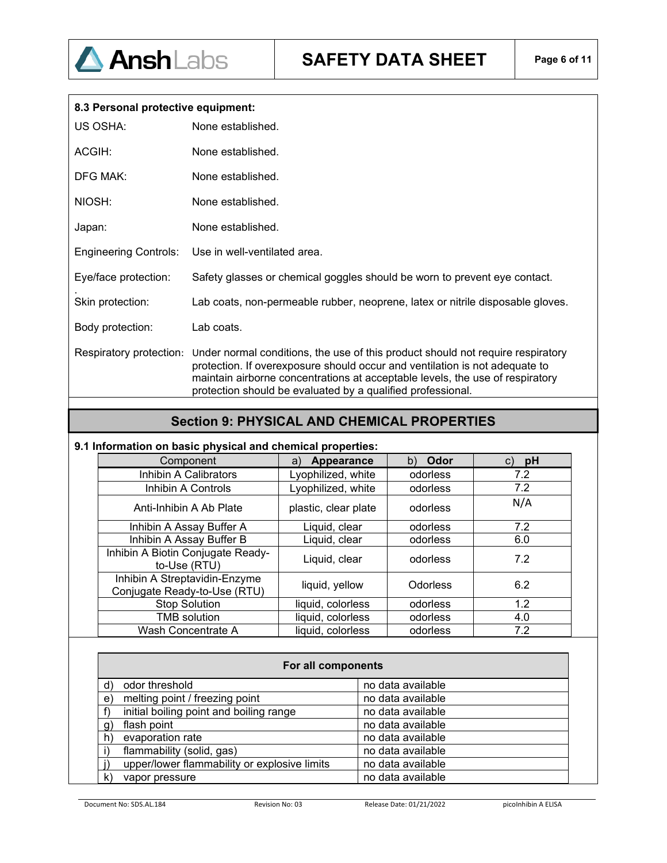

| 8.3 Personal protective equipment: |                                                                                                                                                                                                                                                                                                                |
|------------------------------------|----------------------------------------------------------------------------------------------------------------------------------------------------------------------------------------------------------------------------------------------------------------------------------------------------------------|
| US OSHA:                           | None established.                                                                                                                                                                                                                                                                                              |
| ACGIH:                             | None established.                                                                                                                                                                                                                                                                                              |
| <b>DFG MAK:</b>                    | None established.                                                                                                                                                                                                                                                                                              |
| NIOSH:                             | None established.                                                                                                                                                                                                                                                                                              |
| Japan:                             | None established.                                                                                                                                                                                                                                                                                              |
| <b>Engineering Controls:</b>       | Use in well-ventilated area.                                                                                                                                                                                                                                                                                   |
| Eye/face protection:               | Safety glasses or chemical goggles should be worn to prevent eye contact.                                                                                                                                                                                                                                      |
| Skin protection:                   | Lab coats, non-permeable rubber, neoprene, latex or nitrile disposable gloves.                                                                                                                                                                                                                                 |
| Body protection:                   | Lab coats.                                                                                                                                                                                                                                                                                                     |
| Respiratory protection:            | Under normal conditions, the use of this product should not require respiratory<br>protection. If overexposure should occur and ventilation is not adequate to<br>maintain airborne concentrations at acceptable levels, the use of respiratory<br>protection should be evaluated by a qualified professional. |

# **Section 9: PHYSICAL AND CHEMICAL PROPERTIES**

# **9.1 Information on basic physical and chemical properties:**

| Component                                                     | Appearance<br>a)     | Odor<br>b)      | pH<br>C) |
|---------------------------------------------------------------|----------------------|-----------------|----------|
| Inhibin A Calibrators                                         | Lyophilized, white   | odorless        | 7.2      |
| Inhibin A Controls                                            | Lyophilized, white   | odorless        | 7.2      |
| Anti-Inhibin A Ab Plate                                       | plastic, clear plate | odorless        | N/A      |
| Inhibin A Assay Buffer A                                      | Liquid, clear        | odorless        | 7.2      |
| Inhibin A Assay Buffer B                                      | Liquid, clear        | odorless        | 6.0      |
| Inhibin A Biotin Conjugate Ready-<br>to-Use (RTU)             | Liquid, clear        | odorless        | 7.2      |
| Inhibin A Streptavidin-Enzyme<br>Conjugate Ready-to-Use (RTU) | liquid, yellow       | <b>Odorless</b> | 6.2      |
| <b>Stop Solution</b>                                          | liquid, colorless    | odorless        | 1.2      |
| <b>TMB</b> solution                                           | liquid, colorless    | odorless        | 4.0      |
| Wash Concentrate A                                            | liquid, colorless    | odorless        | 7.2      |

|              | For all components                           |                   |  |  |
|--------------|----------------------------------------------|-------------------|--|--|
| d)           | odor threshold                               | no data available |  |  |
| $\mathbf{e}$ | melting point / freezing point               | no data available |  |  |
|              | initial boiling point and boiling range      | no data available |  |  |
| $\mathbf{q}$ | flash point                                  | no data available |  |  |
| $\mathsf{h}$ | evaporation rate                             | no data available |  |  |
|              | flammability (solid, gas)                    | no data available |  |  |
|              | upper/lower flammability or explosive limits | no data available |  |  |
| k)           | vapor pressure                               | no data available |  |  |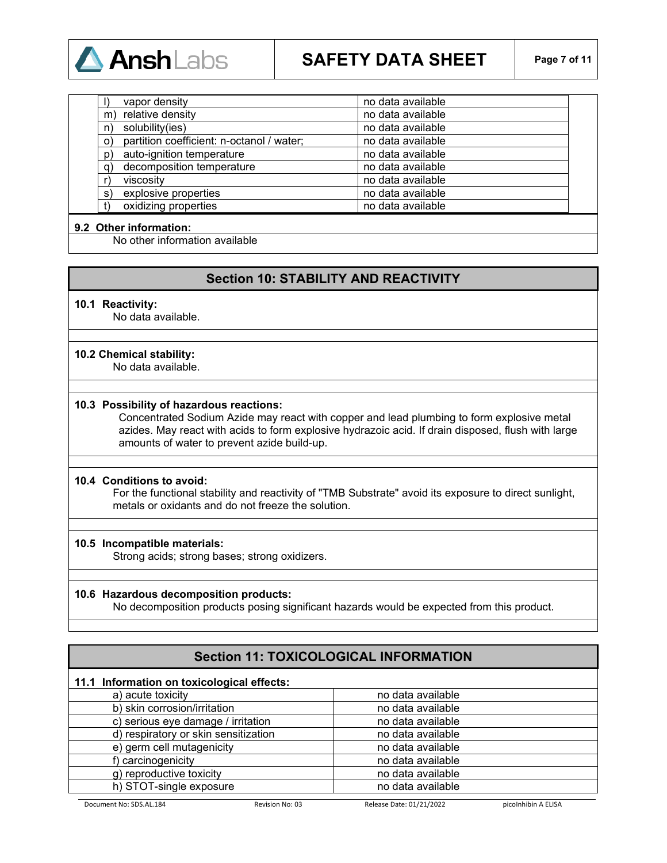

|             | vapor density                             | no data available |
|-------------|-------------------------------------------|-------------------|
| m           | relative density                          | no data available |
| n)          | solubility(ies)                           | no data available |
| $\circ$     | partition coefficient: n-octanol / water; | no data available |
| $ p\rangle$ | auto-ignition temperature                 | no data available |
| q)          | decomposition temperature                 | no data available |
|             | viscosity                                 | no data available |
| s)          | explosive properties                      | no data available |
|             | oxidizing properties                      | no data available |

## **9.2 Other information:**

No other information available

# **Section 10: STABILITY AND REACTIVITY**

#### **10.1 Reactivity:**

No data available.

### **10.2 Chemical stability:**

No data available.

#### **10.3 Possibility of hazardous reactions:**

Concentrated Sodium Azide may react with copper and lead plumbing to form explosive metal azides. May react with acids to form explosive hydrazoic acid. If drain disposed, flush with large amounts of water to prevent azide build-up.

#### **10.4 Conditions to avoid:**

For the functional stability and reactivity of "TMB Substrate" avoid its exposure to direct sunlight, metals or oxidants and do not freeze the solution.

#### **10.5 Incompatible materials:**

Strong acids; strong bases; strong oxidizers.

#### **10.6 Hazardous decomposition products:**

No decomposition products posing significant hazards would be expected from this product.

# **Section 11: TOXICOLOGICAL INFORMATION**

# **11.1 Information on toxicological effects:**

| a) acute toxicity                    | no data available |
|--------------------------------------|-------------------|
| b) skin corrosion/irritation         | no data available |
| c) serious eye damage / irritation   | no data available |
| d) respiratory or skin sensitization | no data available |
| e) germ cell mutagenicity            | no data available |
| f) carcinogenicity                   | no data available |
| g) reproductive toxicity             | no data available |
| h) STOT-single exposure              | no data available |
|                                      |                   |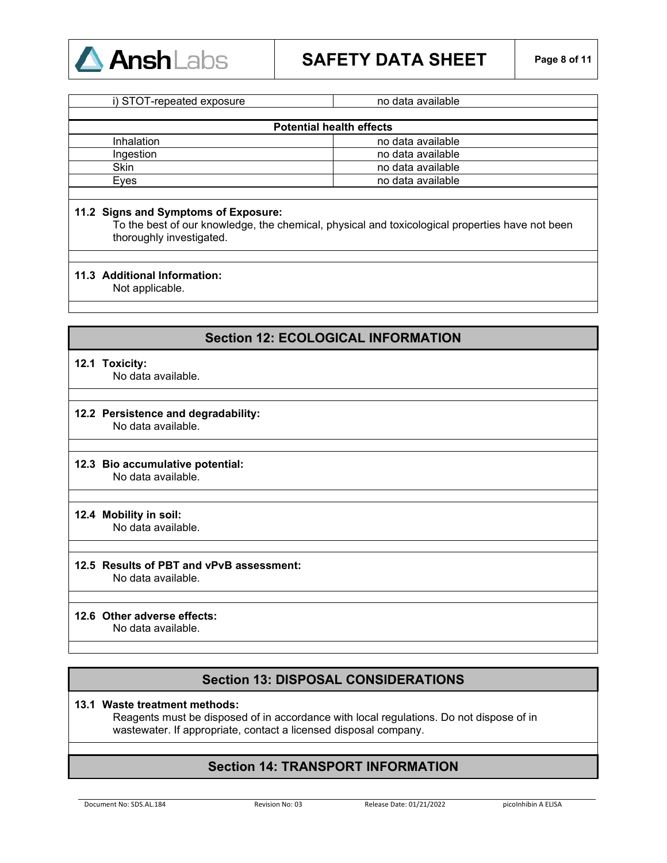

| $5.0$ $1.9$ $1.9$ $1.0$ $1.0$ $1.0$ $1.0$ $1.0$ $1.0$ $1.0$ $1.0$ $1.0$ $1.0$ $1.0$ $1.0$ $1.0$ $1.0$ $1.0$ $1.0$ $1.0$ $1.0$ $1.0$ $1.0$ $1.0$ $1.0$ $1.0$ $1.0$ $1.0$ $1.0$ $1.0$ $1.0$ $1.0$ $1.0$ $1.0$ $1.0$ $1.0$ $1.0$ | $119$ agus a runam i g |
|-------------------------------------------------------------------------------------------------------------------------------------------------------------------------------------------------------------------------------|------------------------|
|                                                                                                                                                                                                                               |                        |
| <b>Potential health effects</b>                                                                                                                                                                                               |                        |
| <b>Inhalation</b>                                                                                                                                                                                                             | no data available      |
| Ingestion                                                                                                                                                                                                                     | no data available      |
| <b>Skin</b>                                                                                                                                                                                                                   | no data available      |
| Eves                                                                                                                                                                                                                          | no data available      |
|                                                                                                                                                                                                                               |                        |

i) STOT-repeated exposure is a set of the no data available

### **11.2 Signs and Symptoms of Exposure:**

To the best of our knowledge, the chemical, physical and toxicological properties have not been thoroughly investigated.

### **11.3 Additional Information:**

Not applicable.

# **Section 12: ECOLOGICAL INFORMATION**

#### **12.1 Toxicity:**

No data available.

# **12.2 Persistence and degradability:**

No data available.

# **12.3 Bio accumulative potential:**

No data available.

### **12.4 Mobility in soil:**

No data available.

# **12.5 Results of PBT and vPvB assessment:**

No data available.

### **12.6 Other adverse effects:**

No data available.

# **Section 13: DISPOSAL CONSIDERATIONS**

### **13.1 Waste treatment methods:**

Reagents must be disposed of in accordance with local regulations. Do not dispose of in wastewater. If appropriate, contact a licensed disposal company.

# **Section 14: TRANSPORT INFORMATION**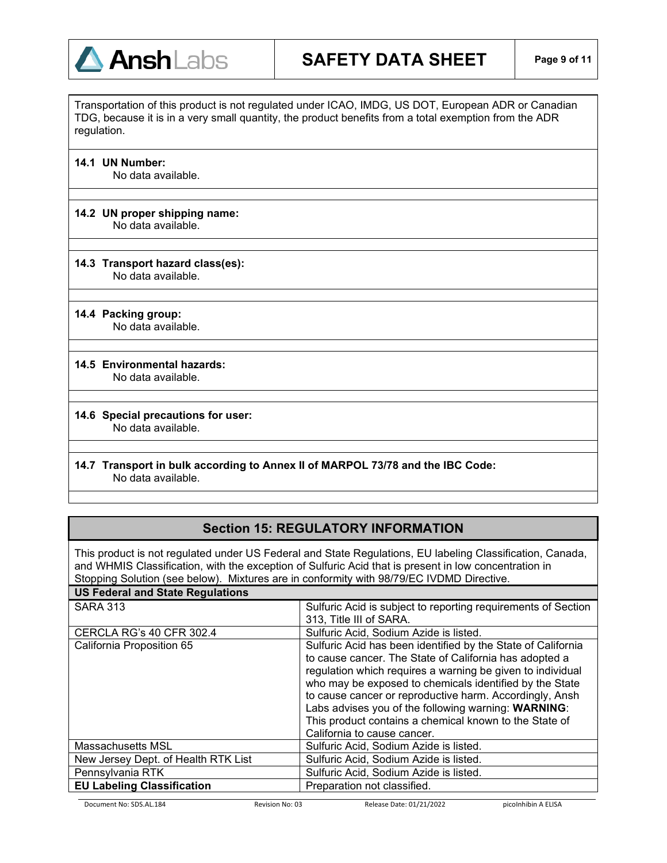

Transportation of this product is not regulated under ICAO, IMDG, US DOT, European ADR or Canadian TDG, because it is in a very small quantity, the product benefits from a total exemption from the ADR regulation.

**14.1 UN Number:**

No data available.

#### **14.2 UN proper shipping name:** No data available.

### **14.3 Transport hazard class(es):** No data available.

**14.4 Packing group:** No data available.

# **14.5 Environmental hazards:**

No data available.

#### **14.6 Special precautions for user:** No data available.

# **14.7 Transport in bulk according to Annex II of MARPOL 73/78 and the IBC Code:** No data available.

# **Section 15: REGULATORY INFORMATION**

This product is not regulated under US Federal and State Regulations, EU labeling Classification, Canada, and WHMIS Classification, with the exception of Sulfuric Acid that is present in low concentration in Stopping Solution (see below). Mixtures are in conformity with 98/79/EC IVDMD Directive. **US Federal and State Regulations**

| US Feueral and State Regulations    |                                                                                                                                                                                                                                                                                                                                                                                                                                                            |
|-------------------------------------|------------------------------------------------------------------------------------------------------------------------------------------------------------------------------------------------------------------------------------------------------------------------------------------------------------------------------------------------------------------------------------------------------------------------------------------------------------|
| <b>SARA 313</b>                     | Sulfuric Acid is subject to reporting requirements of Section<br>313, Title III of SARA.                                                                                                                                                                                                                                                                                                                                                                   |
| <b>CERCLA RG's 40 CFR 302.4</b>     | Sulfuric Acid, Sodium Azide is listed.                                                                                                                                                                                                                                                                                                                                                                                                                     |
| California Proposition 65           | Sulfuric Acid has been identified by the State of California<br>to cause cancer. The State of California has adopted a<br>regulation which requires a warning be given to individual<br>who may be exposed to chemicals identified by the State<br>to cause cancer or reproductive harm. Accordingly, Ansh<br>Labs advises you of the following warning: WARNING:<br>This product contains a chemical known to the State of<br>California to cause cancer. |
| Massachusetts MSL                   | Sulfuric Acid, Sodium Azide is listed.                                                                                                                                                                                                                                                                                                                                                                                                                     |
| New Jersey Dept. of Health RTK List | Sulfuric Acid, Sodium Azide is listed.                                                                                                                                                                                                                                                                                                                                                                                                                     |
| Pennsylvania RTK                    | Sulfuric Acid, Sodium Azide is listed.                                                                                                                                                                                                                                                                                                                                                                                                                     |
| <b>EU Labeling Classification</b>   | Preparation not classified.                                                                                                                                                                                                                                                                                                                                                                                                                                |
|                                     |                                                                                                                                                                                                                                                                                                                                                                                                                                                            |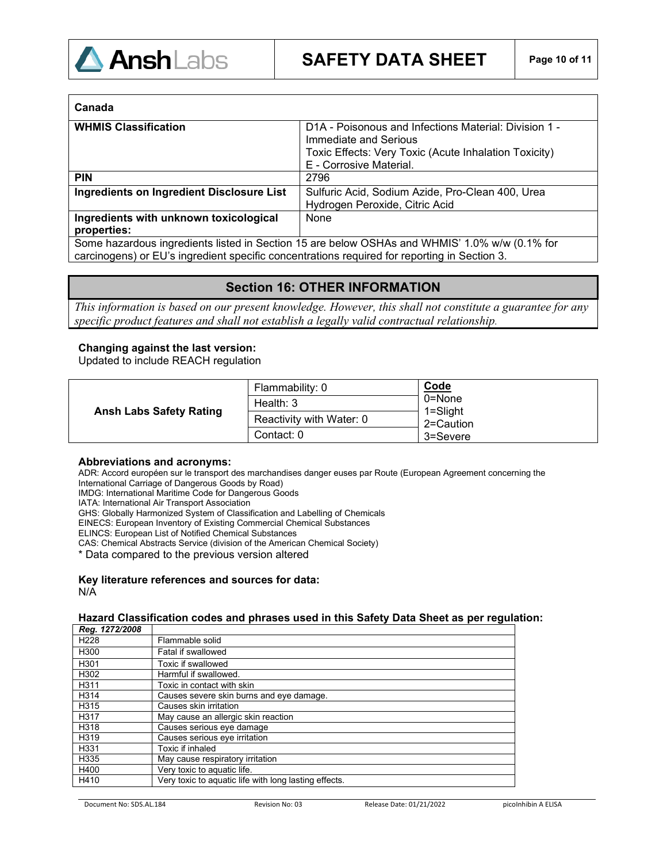

| Canada                                                                                        |                                                                                |
|-----------------------------------------------------------------------------------------------|--------------------------------------------------------------------------------|
| <b>WHMIS Classification</b>                                                                   | D1A - Poisonous and Infections Material: Division 1 -<br>Immediate and Serious |
|                                                                                               | Toxic Effects: Very Toxic (Acute Inhalation Toxicity)                          |
|                                                                                               | E - Corrosive Material.                                                        |
| <b>PIN</b>                                                                                    | 2796                                                                           |
| <b>Ingredients on Ingredient Disclosure List</b>                                              | Sulfuric Acid, Sodium Azide, Pro-Clean 400, Urea                               |
|                                                                                               | Hydrogen Peroxide, Citric Acid                                                 |
| Ingredients with unknown toxicological                                                        | None                                                                           |
| properties:                                                                                   |                                                                                |
| Some hazardous ingredients listed in Section 15 are below OSHAs and WHMIS' 1.0% w/w (0.1% for |                                                                                |
| carcinogens) or EU's ingredient specific concentrations required for reporting in Section 3.  |                                                                                |

# **Section 16: OTHER INFORMATION**

*This information is based on our present knowledge. However, this shall not constitute a guarantee for any specific product features and shall not establish a legally valid contractual relationship*.

### **Changing against the last version:**

Updated to include REACH regulation

| <b>Ansh Labs Safety Rating</b> | Flammability: 0          | Code                                |
|--------------------------------|--------------------------|-------------------------------------|
|                                | Health: $3$              | 0=None<br>$1 =$ Slight<br>2=Caution |
|                                | Reactivity with Water: 0 |                                     |
|                                | Contact: 0               | 3=Severe                            |

#### **Abbreviations and acronyms:**

ADR: Accord européen sur le transport des marchandises danger euses par Route (European Agreement concerning the International Carriage of Dangerous Goods by Road)

IMDG: International Maritime Code for Dangerous Goods

IATA: International Air Transport Association

GHS: Globally Harmonized System of Classification and Labelling of Chemicals

EINECS: European Inventory of Existing Commercial Chemical Substances

ELINCS: European List of Notified Chemical Substances

CAS: Chemical Abstracts Service (division of the American Chemical Society)

\* Data compared to the previous version altered

**Key literature references and sources for data:** N/A

#### **Hazard Classification codes and phrases used in this Safety Data Sheet as per regulation:** *Reg. 1272/2008*

| 1554.141272000   |                                                       |
|------------------|-------------------------------------------------------|
| H <sub>228</sub> | Flammable solid                                       |
| H300             | Fatal if swallowed                                    |
| H <sub>301</sub> | Toxic if swallowed                                    |
| H302             | Harmful if swallowed.                                 |
| H311             | Toxic in contact with skin                            |
| H314             | Causes severe skin burns and eye damage.              |
| H315             | Causes skin irritation                                |
| H317             | May cause an allergic skin reaction                   |
| H318             | Causes serious eye damage                             |
| H319             | Causes serious eye irritation                         |
| H331             | Toxic if inhaled                                      |
| H335             | May cause respiratory irritation                      |
| H400             | Very toxic to aquatic life.                           |
| H410             | Very toxic to aquatic life with long lasting effects. |